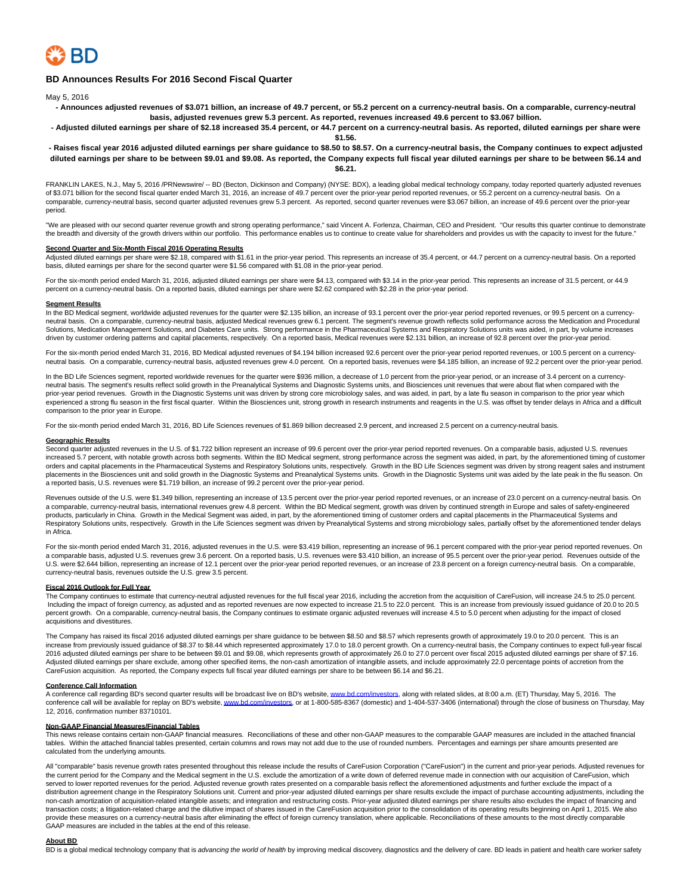

### **BD Announces Results For 2016 Second Fiscal Quarter**

May 5, 2016

- **Announces adjusted revenues of \$3.071 billion, an increase of 49.7 percent, or 55.2 percent on a currency-neutral basis. On a comparable, currency-neutral basis, adjusted revenues grew 5.3 percent. As reported, revenues increased 49.6 percent to \$3.067 billion.**
- **Adjusted diluted earnings per share of \$2.18 increased 35.4 percent, or 44.7 percent on a currency-neutral basis. As reported, diluted earnings per share were \$1.56.**

#### **- Raises fiscal year 2016 adjusted diluted earnings per share guidance to \$8.50 to \$8.57. On a currency-neutral basis, the Company continues to expect adjusted diluted earnings per share to be between \$9.01 and \$9.08. As reported, the Company expects full fiscal year diluted earnings per share to be between \$6.14 and \$6.21.**

FRANKLIN LAKES, N.J., May 5, 2016 /PRNewswire/ -- BD (Becton, Dickinson and Company) (NYSE: BDX), a leading global medical technology company, today reported quarterly adjusted revenues of \$3.071 billion for the second fiscal quarter ended March 31, 2016, an increase of 49.7 percent over the prior-year period reported revenues, or 55.2 percent on a currency-neutral basis. On a comparable, currency-neutral basis, second quarter adjusted revenues grew 5.3 percent. As reported, second quarter revenues were \$3.067 billion, an increase of 49.6 percent over the prior-year period.

"We are pleased with our second quarter revenue growth and strong operating performance," said Vincent A. Forlenza, Chairman, CEO and President. "Our results this quarter continue to demonstrate the breadth and diversity of the growth drivers within our portfolio. This performance enables us to continue to create value for shareholders and provides us with the capacity to invest for the future."

Second Quarter and Six-Month Fiscal 2016 Operating Results<br>Adjusted diluted earnings per share were \$2.18, compared with \$1.61 in the prior-year period. This represents an increase of 35.4 percent, or 44.7 percent on a cur basis, diluted earnings per share for the second quarter were \$1.56 compared with \$1.08 in the prior-year period.

For the six-month period ended March 31, 2016, adjusted diluted earnings per share were \$4.13, compared with \$3.14 in the prior-year period. This represents an increase of 31.5 percent, or 44.9 percent on a currency-neutral basis. On a reported basis, diluted earnings per share were \$2.62 compared with \$2.28 in the prior-year period.

#### **Segment Results**

In the BD Medical segment, worldwide adjusted revenues for the quarter were \$2.135 billion, an increase of 93.1 percent over the prior-year period reported revenues, or 99.5 percent on a currencyneutral basis. On a comparable, currency-neutral basis, adjusted Medical revenues grew 6.1 percent. The segment's revenue growth reflects solid performance across the Medication and Procedural Solutions, Medication Management Solutions, and Diabetes Care units. Strong performance in the Pharmaceutical Systems and Respiratory Solutions units was aided, in part, by volume increases driven by customer ordering patterns and capital placements, respectively. On a reported basis, Medical revenues were \$2.131 billion, an increase of 92.8 percent over the prior-year period.

For the six-month period ended March 31, 2016, BD Medical adjusted revenues of \$4.194 billion increased 92.6 percent over the prior-year period reported revenues, or 100.5 percent on a currencyneutral basis. On a comparable, currency-neutral basis, adjusted revenues grew 4.0 percent. On a reported basis, revenues were \$4.185 billion, an increase of 92.2 percent over the prior-year period.

In the BD Life Sciences segment, reported worldwide revenues for the quarter were \$936 million, a decrease of 1.0 percent from the prior-year period, or an increase of 3.4 percent on a currencyneutral basis. The segment's results reflect solid growth in the Preanalytical Systems and Diagnostic Systems units, and Biosciences unit revenues that were about flat when compared with the prior-year period revenues. Growth in the Diagnostic Systems unit was driven by strong core microbiology sales, and was aided, in part, by a late flu season in comparison to the prior year which experienced a strong flu season in the first fiscal quarter. Within the Biosciences unit, strong growth in research instruments and reagents in the U.S. was offset by tender delays in Africa and a difficult comparison to the prior year in Europe.

For the six-month period ended March 31, 2016, BD Life Sciences revenues of \$1.869 billion decreased 2.9 percent, and increased 2.5 percent on a currency-neutral basis.

#### **Geographic Results**

Second quarter adjusted revenues in the U.S. of \$1.722 billion represent an increase of 99.6 percent over the prior-year period reported revenues. On a comparable basis, adjusted U.S. revenues increased 5.7 percent, with notable growth across both segments. Within the BD Medical segment, strong performance across the segment was aided, in part, by the aforementioned timing of customer orders and capital placements in the Pharmaceutical Systems and Respiratory Solutions units, respectively. Growth in the BD Life Sciences segment was driven by strong reagent sales and instrument placements in the Biosciences unit and solid growth in the Diagnostic Systems and Preanalytical Systems units. Growth in the Diagnostic Systems unit was aided by the late peak in the flu season. On a reported basis, U.S. revenues were \$1.719 billion, an increase of 99.2 percent over the prior-year period.

Revenues outside of the U.S. were \$1.349 billion, representing an increase of 13.5 percent over the prior-year period reported revenues, or an increase of 23.0 percent on a currency-neutral basis. On a comparable, currency-neutral basis, international revenues grew 4.8 percent. Within the BD Medical segment, growth was driven by continued strength in Europe and sales of safety-engineered products, particularly in China. Growth in the Medical Segment was aided, in part, by the aforementioned timing of customer orders and capital placements in the Pharmaceutical Systems and Respiratory Solutions units, respectively. Growth in the Life Sciences segment was driven by Preanalytical Systems and strong microbiology sales, partially offset by the aforementioned tender delays in Africa.

For the six-month period ended March 31, 2016, adjusted revenues in the U.S. were \$3.419 billion, representing an increase of 96.1 percent compared with the prior-year period reported revenues. On a comparable basis, adjusted U.S. revenues grew 3.6 percent. On a reported basis, U.S. revenues were \$3.410 billion, an increase of 95.5 percent over the prior-year period. Revenues outside of the accomparable basis, U.S. U.S. were \$2.644 billion, representing an increase of 12.1 percent over the prior-year period reported revenues, or an increase of 23.8 percent on a foreign currency-neutral basis. On a comparable, currency-neutral basis, revenues outside the U.S. grew 3.5 percent.

#### **Fiscal 2016 Outlook for Full Year**

The Company continues to estimate that currency-neutral adjusted revenues for the full fiscal year 2016, including the accretion from the acquisition of CareFusion, will increase 24.5 to 25.0 percent. Including the impact of foreign currency, as adjusted and as reported revenues are now expected to increase 21.5 to 22.0 percent. This is an increase from previously issued guidance of 20.0 to 20.5 percent growth. On a comparable, currency-neutral basis, the Company continues to estimate organic adjusted revenues will increase 4.5 to 5.0 percent when adjusting for the impact of closed acquisitions and divestitures.

The Company has raised its fiscal 2016 adjusted diluted earnings per share guidance to be between \$8.50 and \$8.57 which represents growth of approximately 19.0 to 20.0 percent. This is an increase from previously issued guidance of \$8.37 to \$8.44 which represented approximately 17.0 to 18.0 percent growth. On a currency-neutral basis, the Company continues to expect full-year fiscal 2016 adjusted diluted earnings per share to be between \$9.01 and \$9.08, which represents growth of approximately 26.0 to 27.0 percent over fiscal 2015 adjusted diluted earnings per share of \$7.16. Adjusted diluted earnings per share exclude, among other specified items, the non-cash amortization of intangible assets, and include approximately 22.0 percentage points of accretion from the CareFusion acquisition. As reported, the Company expects full fiscal year diluted earnings per share to be between \$6.14 and \$6.21.

#### **Conference Call Information**

A conference call regarding BD's second quarter results will be broadcast live on BD's website[, www.bd.com/investors,](http://www.bd.com/investors) along with related slides, at 8:00 a.m. (ET) Thursday, May 5, 2016. The conference call will be available for replay on BD's website, [www.bd.com/investors,](http://www.bd.com/investors) or at 1-800-585-8367 (domestic) and 1-404-537-3406 (international) through the close of business on Thursday, May 12, 2016, confirmation number 83710101.

# **Non-GAAP Financial Measures/Financial Tables**

This news release contains certain non-GAAP financial measures. Reconciliations of these and other non-GAAP measures to the comparable GAAP measures are included in the attached financial tables. Within the attached financial tables presented, certain columns and rows may not add due to the use of rounded numbers. Percentages and earnings per share amounts presented are calculated from the underlying amounts.

All "comparable" basis revenue growth rates presented throughout this release include the results of CareFusion Corporation ("CareFusion") in the current and prior-year periods. Adjusted revenues for the current period for the Company and the Medical segment in the U.S. exclude the amortization of a write down of deferred revenue made in connection with our acquisition of CareFusion, which served to lower reported revenues for the period. Adjusted revenue growth rates presented on a comparable basis reflect the aforementioned adjustments and further exclude the impact of a distribution agreement change in the Respiratory Solutions unit. Current and prior-year adjusted diluted earnings per share results exclude the impact of purchase accounting adjustments, including the non-cash amortization of acquisition-related intangible assets; and integration and restructuring costs. Prior-year adjusted diluted earnings per share results also excludes the impact of financing and transaction costs; a litigation-related charge and the dilutive impact of shares issued in the CareFusion acquisition prior to the consolidation of its operating results beginning on April 1, 2015. We also provide these measures on a currency-neutral basis after eliminating the effect of foreign currency translation, where applicable. Reconciliations of these amounts to the most directly comparable GAAP measures are included in the tables at the end of this release.

#### **About BD**

BD is a global medical technology company that is advancing the world of health by improving medical discovery, diagnostics and the delivery of care. BD leads in patient and health care worker safety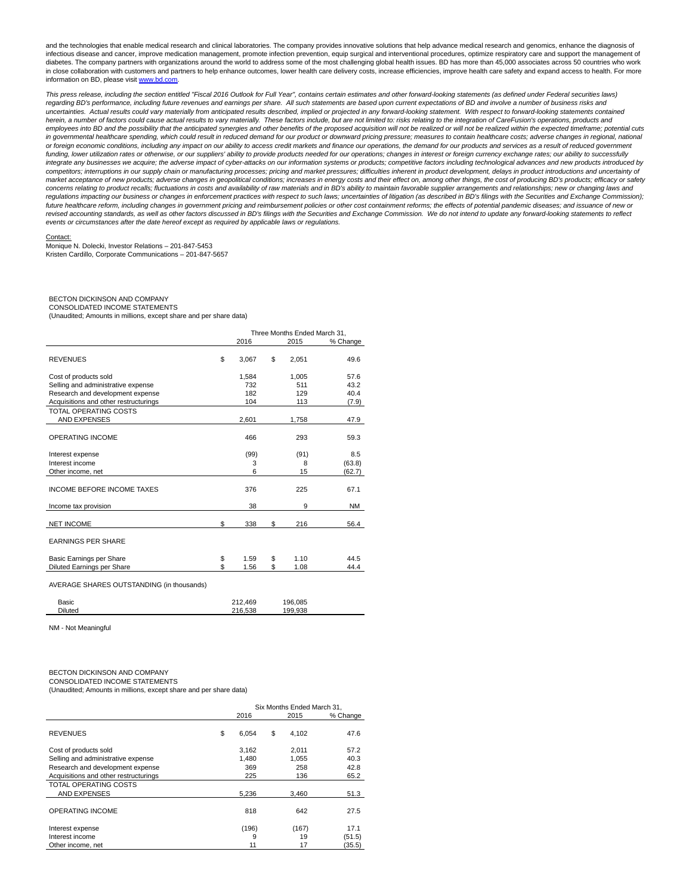and the technologies that enable medical research and clinical laboratories. The company provides innovative solutions that help advance medical research and genomics, enhance the diagnosis of infectious disease and cancer, improve medication management, promote infection prevention, equip surgical and interventional procedures, optimize respiratory care and support the management of diabetes. The company partners with organizations around the world to address some of the most challenging global health issues. BD has more than 45,000 associates across 50 countries who work in close collaboration with customers and partners to help enhance outcomes, lower health care delivery costs, increase efficiencies, improve health care safety and expand access to health. For more information on BD, please visi[t www.bd.com.](http://www.bd.com/)

This press release, including the section entitled "Fiscal 2016 Outlook for Full Year", contains certain estimates and other forward-looking statements (as defined under Federal securities laws) regarding BD's performance, including future revenues and earnings per share. All such statements are based upon current expectations of BD and involve a number of business risks and uncertainties. Actual results could vary materially from anticipated results described, implied or projected in any forward-looking statement. With respect to forward-looking statements contained herein, a number of factors could cause actual results to vary materially. These factors include, but are not limited to: risks relating to the integration of CareFusion's operations, products and employees into BD and the possibility that the anticipated synergies and other benefits of the proposed acquisition will not be realized or will not be realized within the expected timeframe; potential cuts in governmental healthcare spending, which could result in reduced demand for our product or downward pricing pressure; measures to contain healthcare costs; adverse changes in regional, national or foreign economic conditions, including any impact on our ability to access credit markets and finance our operations, the demand for our products and services as a result of reduced government funding, lower utilization rates or otherwise, or our suppliers' ability to provide products needed for our operations; changes in interest or foreign currency exchange rates; our ability to successfully integrate any businesses we acquire; the adverse impact of cyber-attacks on our information systems or products; competitive factors including technological advances and new products introduced by competitors; interruptions in our supply chain or manufacturing processes; pricing and market pressures; difficulties inherent in product development, delays in product introductions and uncertainty of market acceptance of new products; adverse changes in geopolitical conditions; increases in energy costs and their effect on, among other things, the cost of producing BD's products; efficacy or safety concerns relating to product recalls; fluctuations in costs and availability of raw materials and in BD's ability to maintain favorable supplier arrangements and relationships; new or changing laws and regulations impacting our business or changes in enforcement practices with respect to such laws; uncertainties of litigation (as described in BD's filings with the Securities and Exchange Commission); future healthcare reform, including changes in government pricing and reimbursement policies or other cost containment reforms; the effects of potential pandemic diseases; and issuance of new or revised accounting standards, as well as other factors discussed in BD's filings with the Securities and Exchange Commission. We do not intend to update any forward-looking statements to reflect events or circumstances after the date hereof except as required by applicable laws or regulations.

#### Contact:

Monique N. Dolecki, Investor Relations – 201-847-5453 Kristen Cardillo, Corporate Communications – 201-847-5657

#### BECTON DICKINSON AND COMPANY

CONSOLIDATED INCOME STATEMENTS

(Unaudited; Amounts in millions, except share and per share data)

|                                           |             | Three Months Ended March 31. |          |
|-------------------------------------------|-------------|------------------------------|----------|
|                                           | 2016        | 2015                         | % Change |
| <b>REVENUES</b>                           | \$<br>3,067 | \$<br>2,051                  | 49.6     |
| Cost of products sold                     | 1.584       | 1.005                        | 57.6     |
| Selling and administrative expense        | 732         | 511                          | 43.2     |
| Research and development expense          | 182         | 129                          | 40.4     |
| Acquisitions and other restructurings     | 104         | 113                          | (7.9)    |
| TOTAL OPERATING COSTS                     |             |                              |          |
| <b>AND EXPENSES</b>                       | 2,601       | 1,758                        | 47.9     |
| <b>OPERATING INCOME</b>                   | 466         | 293                          | 59.3     |
| Interest expense                          | (99)        | (91)                         | 8.5      |
| Interest income                           | 3           | 8                            | (63.8)   |
| Other income, net                         | 6           | 15                           | (62.7)   |
| <b>INCOME BEFORE INCOME TAXES</b>         | 376         | 225                          | 67.1     |
| Income tax provision                      | 38          | 9                            | NM       |
| <b>NET INCOME</b>                         | \$<br>338   | \$<br>216                    | 56.4     |
| <b>EARNINGS PER SHARE</b>                 |             |                              |          |
| Basic Earnings per Share                  | \$<br>1.59  | \$<br>1.10                   | 44.5     |
| Diluted Earnings per Share                | \$<br>1.56  | \$<br>1.08                   | 44.4     |
| AVERAGE SHARES OUTSTANDING (in thousands) |             |                              |          |

| Basic          | 212.469 | 196.085 |
|----------------|---------|---------|
| <b>Diluted</b> | 216.538 | 199.938 |
|                |         |         |

NM - Not Meaningful

#### BECTON DICKINSON AND COMPANY CONSOLIDATED INCOME STATEMENTS

(Unaudited; Amounts in millions, except share and per share data)

|                                       |             | Six Months Ended March 31. |          |
|---------------------------------------|-------------|----------------------------|----------|
|                                       | 2016        | 2015                       | % Change |
| <b>REVENUES</b>                       | \$<br>6.054 | \$<br>4.102                | 47.6     |
| Cost of products sold                 | 3.162       | 2.011                      | 57.2     |
| Selling and administrative expense    | 1.480       | 1.055                      | 40.3     |
| Research and development expense      | 369         | 258                        | 42.8     |
| Acquisitions and other restructurings | 225         | 136                        | 65.2     |
| TOTAL OPERATING COSTS                 |             |                            |          |
| <b>AND EXPENSES</b>                   | 5,236       | 3,460                      | 51.3     |
| <b>OPERATING INCOME</b>               | 818         | 642                        | 27.5     |
| Interest expense                      | (196)       | (167)                      | 17.1     |
| Interest income                       | 9           | 19                         | (51.5)   |
| Other income, net                     | 11          | 17                         | (35.5)   |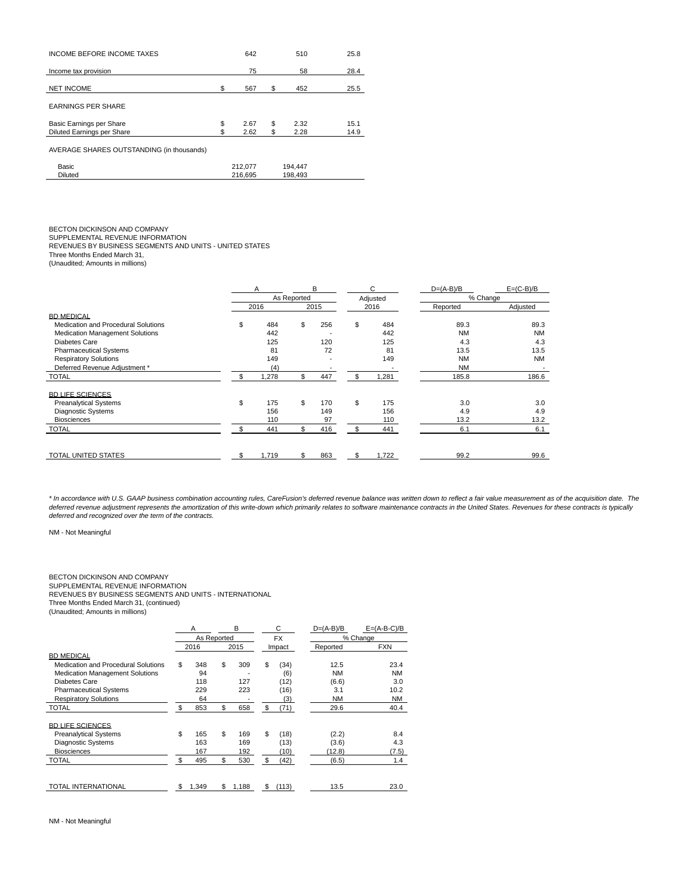| <b>INCOME BEFORE INCOME TAXES</b>         | 642        | 510        | 25.8 |
|-------------------------------------------|------------|------------|------|
| Income tax provision                      | 75         | 58         | 28.4 |
| <b>NET INCOME</b>                         | \$<br>567  | \$<br>452  | 25.5 |
| <b>EARNINGS PER SHARE</b>                 |            |            |      |
| Basic Earnings per Share                  | \$<br>2.67 | \$<br>2.32 | 15.1 |
| <b>Diluted Earnings per Share</b>         | 2.62       | \$<br>2.28 | 14.9 |
| AVERAGE SHARES OUTSTANDING (in thousands) |            |            |      |
| Basic                                     | 212.077    | 194.447    |      |
| <b>Diluted</b>                            | 216.695    | 198.493    |      |

BECTON DICKINSON AND COMPANY<br>SUPPLEMENTAL REVENUE INFORMATION<br>REVENUES BY BUSINESS SEGMENTS AND UNITS - UNITED STATES

Three Months Ended March 31, (Unaudited; Amounts in millions)

|                                        |    | A     |             | B                        | C                        | $D=(A-B)/B$ | $E=(C-B)/B$              |
|----------------------------------------|----|-------|-------------|--------------------------|--------------------------|-------------|--------------------------|
|                                        |    |       | As Reported |                          | Adjusted                 | % Change    |                          |
|                                        |    | 2016  |             | 2015                     | 2016                     | Reported    | Adjusted                 |
| <b>BD MEDICAL</b>                      |    |       |             |                          |                          |             |                          |
| Medication and Procedural Solutions    | \$ | 484   | \$          | 256                      | \$<br>484                | 89.3        | 89.3                     |
| <b>Medication Management Solutions</b> |    | 442   |             | $\overline{\phantom{a}}$ | 442                      | <b>NM</b>   | <b>NM</b>                |
| Diabetes Care                          |    | 125   |             | 120                      | 125                      | 4.3         | 4.3                      |
| <b>Pharmaceutical Systems</b>          |    | 81    |             | 72                       | 81                       | 13.5        | 13.5                     |
| <b>Respiratory Solutions</b>           |    | 149   |             |                          | 149                      | <b>NM</b>   | <b>NM</b>                |
| Deferred Revenue Adjustment *          |    | (4)   |             | $\overline{\phantom{a}}$ | $\overline{\phantom{a}}$ | <b>NM</b>   | $\overline{\phantom{0}}$ |
| <b>TOTAL</b>                           | S  | 1,278 | \$          | 447                      | \$<br>1,281              | 185.8       | 186.6                    |
| <b>BD LIFE SCIENCES</b>                |    |       |             |                          |                          |             |                          |
| <b>Preanalytical Systems</b>           | \$ | 175   | \$          | 170                      | \$<br>175                | 3.0         | 3.0                      |
| <b>Diagnostic Systems</b>              |    | 156   |             | 149                      | 156                      | 4.9         | 4.9                      |
| <b>Biosciences</b>                     |    | 110   |             | 97                       | 110                      | 13.2        | 13.2                     |
| <b>TOTAL</b>                           |    | 441   | \$          | 416                      | \$<br>441                | 6.1         | 6.1                      |
|                                        |    |       |             |                          |                          |             |                          |
| <b>TOTAL UNITED STATES</b>             | \$ | 1.719 | \$.         | 863                      | \$<br>1,722              | 99.2        | 99.6                     |

\* In accordance with U.S. GAAP business combination accounting rules, CareFusion's deferred revenue balance was written down to reflect a fair value measurement as of the acquisition date. The deferred revenue adjustment represents the amortization of this write-down which primarily relates to software maintenance contracts in the United States. Revenues for these contracts is typically deferred and recognized over the term of the contracts.

NM - Not Meaningful

# BECTON DICKINSON AND COMPANY SUPPLEMENTAL REVENUE INFORMATION

REVENUES BY BUSINESS SEGMENTS AND UNITS - INTERNATIONAL

Three Months Ended March 31, (continued)

(Unaudited; Amounts in millions)

|                                        | A           | B           | C           | $D=(A-B)/B$ | $E=(A-B-C)/B$ |
|----------------------------------------|-------------|-------------|-------------|-------------|---------------|
|                                        | As Reported |             | <b>FX</b>   |             | % Change      |
|                                        | 2016        | 2015        | Impact      | Reported    | <b>FXN</b>    |
| <b>BD MEDICAL</b>                      |             |             |             |             |               |
| Medication and Procedural Solutions    | \$<br>348   | \$<br>309   | \$<br>(34)  | 12.5        | 23.4          |
| <b>Medication Management Solutions</b> | 94          |             | (6)         | <b>NM</b>   | <b>NM</b>     |
| <b>Diabetes Care</b>                   | 118         | 127         | (12)        | (6.6)       | 3.0           |
| <b>Pharmaceutical Systems</b>          | 229         | 223         | (16)        | 3.1         | 10.2          |
| <b>Respiratory Solutions</b>           | 64          |             | (3)         | <b>NM</b>   | <b>NM</b>     |
| <b>TOTAL</b>                           | \$<br>853   | \$<br>658   | \$<br>(71)  | 29.6        | 40.4          |
| <b>BD LIFE SCIENCES</b>                |             |             |             |             |               |
| <b>Preanalytical Systems</b>           | \$<br>165   | \$<br>169   | \$<br>(18)  | (2.2)       | 8.4           |
| <b>Diagnostic Systems</b>              | 163         | 169         | (13)        | (3.6)       | 4.3           |
| <b>Biosciences</b>                     | 167         | 192         | (10)        | (12.8)      | (7.5)         |
| <b>TOTAL</b>                           | \$<br>495   | \$<br>530   | \$<br>(42)  | (6.5)       | 1.4           |
|                                        |             |             |             |             |               |
| <b>TOTAL INTERNATIONAL</b>             | \$<br>1,349 | \$<br>1,188 | \$<br>(113) | 13.5        | 23.0          |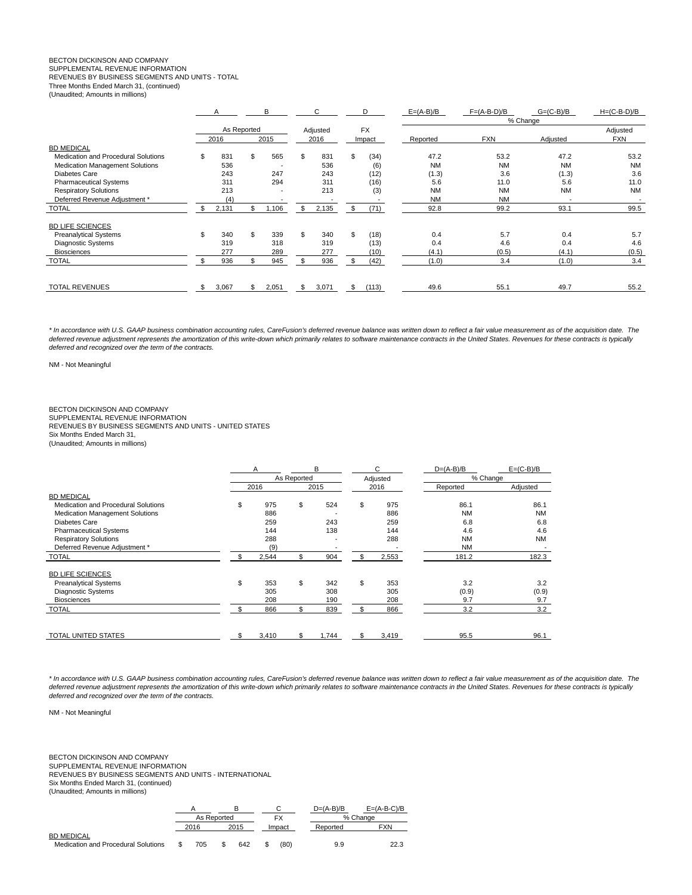### BECTON DICKINSON AND COMPANY

SUPPLEMENTAL REVENUE INFORMATION

REVENUES BY BUSINESS SEGMENTS AND UNITS - TOTAL

Three Months Ended March 31, (continued)

(Unaudited; Amounts in millions)

|                                        |     | A           |     | в                        |    | C        |    | D         |  | $E=(A-B)/B$ | $F=(A-B-D)/B$ | $G=(C-B)/B$ | $H=(C-B-D)/B$ |  |  |  |
|----------------------------------------|-----|-------------|-----|--------------------------|----|----------|----|-----------|--|-------------|---------------|-------------|---------------|--|--|--|
|                                        |     |             |     |                          |    |          |    |           |  | % Change    |               |             |               |  |  |  |
|                                        |     | As Reported |     |                          |    | Adjusted |    | <b>FX</b> |  |             |               |             | Adjusted      |  |  |  |
|                                        |     | 2016        |     | 2015                     |    | 2016     |    | Impact    |  | Reported    | <b>FXN</b>    | Adjusted    | <b>FXN</b>    |  |  |  |
| <b>BD MEDICAL</b>                      |     |             |     |                          |    |          |    |           |  |             |               |             |               |  |  |  |
| Medication and Procedural Solutions    | \$  | 831         | \$. | 565                      | \$ | 831      | \$ | (34)      |  | 47.2        | 53.2          | 47.2        | 53.2          |  |  |  |
| <b>Medication Management Solutions</b> |     | 536         |     | -                        |    | 536      |    | (6)       |  | <b>NM</b>   | <b>NM</b>     | <b>NM</b>   | <b>NM</b>     |  |  |  |
| Diabetes Care                          |     | 243         |     | 247                      |    | 243      |    | (12)      |  | (1.3)       | 3.6           | (1.3)       | 3.6           |  |  |  |
| <b>Pharmaceutical Systems</b>          |     | 311         |     | 294                      |    | 311      |    | (16)      |  | 5.6         | 11.0          | 5.6         | 11.0          |  |  |  |
| <b>Respiratory Solutions</b>           |     | 213         |     | $\overline{\phantom{0}}$ |    | 213      |    | (3)       |  | <b>NM</b>   | <b>NM</b>     | <b>NM</b>   | <b>NM</b>     |  |  |  |
| Deferred Revenue Adjustment *          |     | (4)         |     |                          |    |          |    |           |  | <b>NM</b>   | <b>NM</b>     |             |               |  |  |  |
| <b>TOTAL</b>                           | \$  | 2,131       | \$  | 1,106                    | \$ | 2,135    | \$ | (71)      |  | 92.8        | 99.2          | 93.1        | 99.5          |  |  |  |
| <b>BD LIFE SCIENCES</b>                |     |             |     |                          |    |          |    |           |  |             |               |             |               |  |  |  |
| <b>Preanalytical Systems</b>           | \$  | 340         |     | 339                      | \$ | 340      | \$ | (18)      |  | 0.4         | 5.7           | 0.4         | 5.7           |  |  |  |
| Diagnostic Systems                     |     | 319         |     | 318                      |    | 319      |    | (13)      |  | 0.4         | 4.6           | 0.4         | 4.6           |  |  |  |
| <b>Biosciences</b>                     |     | 277         |     | 289                      |    | 277      |    | (10)      |  | (4.1)       | (0.5)         | (4.1)       | (0.5)         |  |  |  |
| <b>TOTAL</b>                           |     | 936         |     | 945                      |    | 936      | \$ | (42)      |  | (1.0)       | 3.4           | (1.0)       | 3.4           |  |  |  |
|                                        |     |             |     |                          |    |          |    |           |  |             |               |             |               |  |  |  |
| <b>TOTAL REVENUES</b>                  | \$. | 3,067       | \$  | 2,051                    | \$ | 3,071    | \$ | (113)     |  | 49.6        | 55.1          | 49.7        | 55.2          |  |  |  |

\* In accordance with U.S. GAAP business combination accounting rules, CareFusion's deferred revenue balance was written down to reflect a fair value measurement as of the acquisition date. The deferred revenue adjustment represents the amortization of this write-down which primarily relates to software maintenance contracts in the United States. Revenues for these contracts is typically deferred and recognized over the term of the contracts.

NM - Not Meaningful

# BECTON DICKINSON AND COMPANY

SUPPLEMENTAL REVENUE INFORMATION REVENUES BY BUSINESS SEGMENTS AND UNITS - UNITED STATES Six Months Ended March 31, (Unaudited; Amounts in millions)

|                                        | A  |       |             | B     |    | C        | $D=(A-B)/B$ | $E=(C-B)/B$ |
|----------------------------------------|----|-------|-------------|-------|----|----------|-------------|-------------|
|                                        |    |       | As Reported |       |    | Adjusted | % Change    |             |
|                                        |    | 2016  |             | 2015  |    | 2016     | Reported    | Adjusted    |
| <b>BD MEDICAL</b>                      |    |       |             |       |    |          |             |             |
| Medication and Procedural Solutions    | \$ | 975   | \$          | 524   | \$ | 975      | 86.1        | 86.1        |
| <b>Medication Management Solutions</b> |    | 886   |             |       |    | 886      | <b>NM</b>   | <b>NM</b>   |
| <b>Diabetes Care</b>                   |    | 259   |             | 243   |    | 259      | 6.8         | 6.8         |
| <b>Pharmaceutical Systems</b>          |    | 144   |             | 138   |    | 144      | 4.6         | 4.6         |
| <b>Respiratory Solutions</b>           |    | 288   |             |       |    | 288      | <b>NM</b>   | <b>NM</b>   |
| Deferred Revenue Adjustment *          |    | (9)   |             |       |    |          | <b>NM</b>   |             |
| <b>TOTAL</b>                           | \$ | 2,544 | \$          | 904   | \$ | 2,553    | 181.2       | 182.3       |
| <b>BD LIFE SCIENCES</b>                |    |       |             |       |    |          |             |             |
| <b>Preanalytical Systems</b>           | \$ | 353   | \$          | 342   | \$ | 353      | 3.2         | 3.2         |
| <b>Diagnostic Systems</b>              |    | 305   |             | 308   |    | 305      | (0.9)       | (0.9)       |
| <b>Biosciences</b>                     |    | 208   |             | 190   |    | 208      | 9.7         | 9.7         |
| <b>TOTAL</b>                           |    | 866   | \$          | 839   | \$ | 866      | 3.2         | 3.2         |
|                                        |    |       |             |       |    |          |             |             |
| <b>TOTAL UNITED STATES</b>             | \$ | 3,410 | \$          | 1,744 | S  | 3,419    | 95.5        | 96.1        |

\* In accordance with U.S. GAAP business combination accounting rules, CareFusion's deferred revenue balance was written down to reflect a fair value measurement as of the acquisition date. The<br>deferred revenue adjustment r deferred and recognized over the term of the contracts.

NM - Not Meaningful

BECTON DICKINSON AND COMPANY SUPPLEMENTAL REVENUE INFORMATION REVENUES BY BUSINESS SEGMENTS AND UNITS - INTERNATIONAL Six Months Ended March 31, (continued) (Unaudited; Amounts in millions)

|                                     |             |      |        | $D=(A-B)/B$ | $E = (A-B-C)/B$ |
|-------------------------------------|-------------|------|--------|-------------|-----------------|
|                                     | As Reported |      |        |             | % Change        |
|                                     | 2016        | 2015 | Impact | Reported    | <b>FXN</b>      |
| <b>BD MEDICAL</b>                   |             |      |        |             |                 |
| Medication and Procedural Solutions | 705         | 642  | (80)   | 9.9         | 22.3            |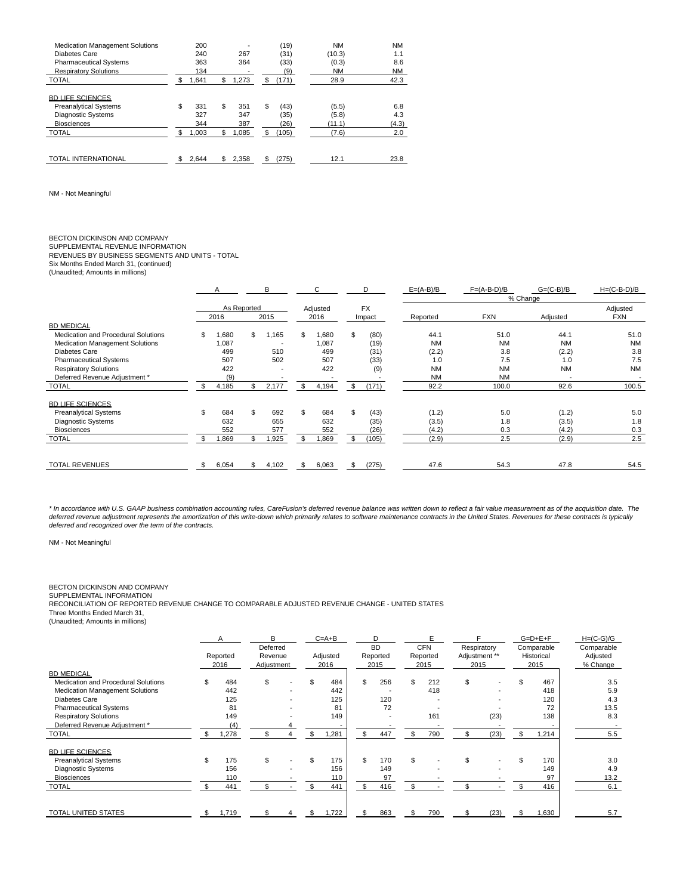| <b>Medication Management Solutions</b><br>Diabetes Care<br><b>Pharmaceutical Systems</b><br><b>Respiratory Solutions</b> | 200<br>240<br>363<br>134 | 267<br>364              |    | (19)<br>(31)<br>(33)<br>(9) | NM<br>(10.3)<br>(0.3)<br>NΜ | <b>NM</b><br>1.1<br>8.6<br><b>NM</b> |
|--------------------------------------------------------------------------------------------------------------------------|--------------------------|-------------------------|----|-----------------------------|-----------------------------|--------------------------------------|
| <b>TOTAL</b>                                                                                                             | \$<br>1,641              | \$<br>1,273             | \$ | (171)                       | 28.9                        | 42.3                                 |
| <b>BD LIFE SCIENCES</b><br><b>Preanalytical Systems</b><br><b>Diagnostic Systems</b><br><b>Biosciences</b>               | \$<br>331<br>327<br>344  | \$<br>351<br>347<br>387 | \$ | (43)<br>(35)<br>(26)        | (5.5)<br>(5.8)<br>(11.1)    | 6.8<br>4.3<br>(4.3)                  |
| <b>TOTAL</b>                                                                                                             | \$<br>1,003              | \$<br>1.085             | \$ | (105)                       | (7.6)                       | 2.0                                  |
| <b>TOTAL INTERNATIONAL</b>                                                                                               | 2.644                    | \$<br>2,358             | S  | (275)                       | 12.1                        | 23.8                                 |

NM - Not Meaningful

# BECTON DICKINSON AND COMPANY

SUPPLEMENTAL REVENUE INFORMATION REVENUES BY BUSINESS SEGMENTS AND UNITS - TOTAL Six Months Ended March 31, (continued)

(Unaudited; Amounts in millions)

|                                        | A                       |     | B                        |    | C     |    | D      | $E=(A-B)/B$ |           | $F=(A-B-D)/B$ | $G=(C-B)/B$              | $H=(C-B-D)/B$ |  |  |  |
|----------------------------------------|-------------------------|-----|--------------------------|----|-------|----|--------|-------------|-----------|---------------|--------------------------|---------------|--|--|--|
|                                        |                         |     |                          |    |       |    |        |             | % Change  |               |                          |               |  |  |  |
|                                        | As Reported<br>Adjusted |     | <b>FX</b>                |    |       |    |        |             | Adjusted  |               |                          |               |  |  |  |
|                                        | 2016                    |     | 2015                     |    | 2016  |    | Impact | Reported    |           | <b>FXN</b>    | Adjusted                 | <b>FXN</b>    |  |  |  |
| <b>BD MEDICAL</b>                      |                         |     |                          |    |       |    |        |             |           |               |                          |               |  |  |  |
| Medication and Procedural Solutions    | \$<br>080,              | \$  | 1,165                    | \$ | 1,680 | \$ | (80)   | 44.1        |           | 51.0          | 44.1                     | 51.0          |  |  |  |
| <b>Medication Management Solutions</b> | 1,087                   |     | $\overline{\phantom{a}}$ |    | 1,087 |    | (19)   | <b>NM</b>   |           | <b>NM</b>     | <b>NM</b>                | <b>NM</b>     |  |  |  |
| Diabetes Care                          | 499                     |     | 510                      |    | 499   |    | (31)   |             | (2.2)     | 3.8           | (2.2)                    | 3.8           |  |  |  |
| <b>Pharmaceutical Systems</b>          | 507                     |     | 502                      |    | 507   |    | (33)   |             | 1.0       | 7.5           | 1.0                      | 7.5           |  |  |  |
| <b>Respiratory Solutions</b>           | 422                     |     |                          |    | 422   |    | (9)    |             | <b>NM</b> | <b>NM</b>     | <b>NM</b>                | <b>NM</b>     |  |  |  |
| Deferred Revenue Adjustment *          | (9)                     |     |                          |    |       |    |        |             | <b>NM</b> | <b>NM</b>     | $\overline{\phantom{a}}$ |               |  |  |  |
| <b>TOTAL</b>                           | \$<br>4,185             | \$. | 2,177                    | \$ | 4,194 | \$ | (171)  | 92.2        |           | 100.0         | 92.6                     | 100.5         |  |  |  |
| <b>BD LIFE SCIENCES</b>                |                         |     |                          |    |       |    |        |             |           |               |                          |               |  |  |  |
| <b>Preanalytical Systems</b>           | \$<br>684               | \$  | 692                      | \$ | 684   | \$ | (43)   |             | (1.2)     | 5.0           | (1.2)                    | 5.0           |  |  |  |
| <b>Diagnostic Systems</b>              | 632                     |     | 655                      |    | 632   |    | (35)   |             | (3.5)     | 1.8           | (3.5)                    | 1.8           |  |  |  |
| <b>Biosciences</b>                     | 552                     |     | 577                      |    | 552   |    | (26)   |             | (4.2)     | 0.3           | (4.2)                    | 0.3           |  |  |  |
| <b>TOTAL</b>                           | 0.869                   |     | 1,925                    | \$ | 1,869 | \$ | (105)  |             | (2.9)     | 2.5           | (2.9)                    | 2.5           |  |  |  |
|                                        |                         |     |                          |    |       |    |        |             |           |               |                          |               |  |  |  |
| <b>TOTAL REVENUES</b>                  | \$<br>6,054             | \$  | 4,102                    | \$ | 6,063 | \$ | (275)  | 47.6        |           | 54.3          | 47.8                     | 54.5          |  |  |  |

\* In accordance with U.S. GAAP business combination accounting rules, CareFusion's deferred revenue balance was written down to reflect a fair value measurement as of the acquisition date. The<br>deferred revenue adjustment r deferred and recognized over the term of the contracts.

NM - Not Meaningful

#### BECTON DICKINSON AND COMPANY

SUPPLEMENTAL INFORMATION RECONCILIATION OF REPORTED REVENUE CHANGE TO COMPARABLE ADJUSTED REVENUE CHANGE - UNITED STATES Three Months Ended March 31,

(Unaudited; Amounts in millions)

|                                        | A                | B                     |          | $C = A + B$ |          |    | D                | E                | Respiratory<br>Adjustment ** |      | $G=D+E+F$ |                    | $H=(C-G)/G$          |
|----------------------------------------|------------------|-----------------------|----------|-------------|----------|----|------------------|------------------|------------------------------|------|-----------|--------------------|----------------------|
|                                        |                  |                       | Deferred |             | Adjusted |    | <b>BD</b>        | <b>CFN</b>       |                              |      |           | Comparable         | Comparable           |
|                                        | Reported<br>2016 | Revenue<br>Adjustment |          |             | 2016     |    | Reported<br>2015 | Reported<br>2015 | 2015                         |      |           | Historical<br>2015 | Adjusted<br>% Change |
| <b>BD MEDICAL</b>                      |                  |                       |          |             |          |    |                  |                  |                              |      |           |                    |                      |
| Medication and Procedural Solutions    | \$<br>484        | \$                    |          | \$          | 484      | \$ | 256              | \$<br>212        | \$                           |      |           | 467                | 3.5                  |
| <b>Medication Management Solutions</b> | 442              |                       |          |             | 442      |    |                  | 418              |                              |      |           | 418                | 5.9                  |
| Diabetes Care                          | 125              |                       |          |             | 125      |    | 120              |                  |                              |      |           | 120                | 4.3                  |
| <b>Pharmaceutical Systems</b>          | 81               |                       |          |             | 81       |    | 72               |                  |                              |      |           | 72                 | 13.5                 |
| <b>Respiratory Solutions</b>           | 149              |                       |          |             | 149      |    |                  | 161              |                              | (23) |           | 138                | 8.3                  |
| Deferred Revenue Adjustment *          | (4)              |                       |          |             |          |    |                  |                  |                              |      |           |                    |                      |
| TOTAL                                  | 1,278            |                       |          |             | 1,281    | \$ | 447              | 790              |                              | (23) |           | 1,214              | 5.5                  |
| <b>BD LIFE SCIENCES</b>                |                  |                       |          |             |          |    |                  |                  |                              |      |           |                    |                      |
| <b>Preanalytical Systems</b>           | \$<br>175        | \$                    |          | \$          | 175      | \$ | 170              | \$               | \$                           |      | \$        | 170                | 3.0                  |
| Diagnostic Systems                     | 156              |                       |          |             | 156      |    | 149              |                  |                              |      |           | 149                | 4.9                  |
| <b>Biosciences</b>                     | 110              |                       |          |             | 110      |    | 97               |                  |                              |      |           | 97                 | 13.2                 |
| <b>TOTAL</b>                           | 441              | \$                    |          |             | 441      | \$ | 416              |                  |                              |      |           | 416                | 6.1                  |
|                                        |                  |                       |          |             |          |    |                  |                  |                              |      |           |                    |                      |
| TOTAL UNITED STATES                    | \$<br>1,719      | \$                    | 4        | \$          | 1,722    | \$ | 863              | \$<br>790        | \$                           | (23) | \$.       | 1,630              | 5.7                  |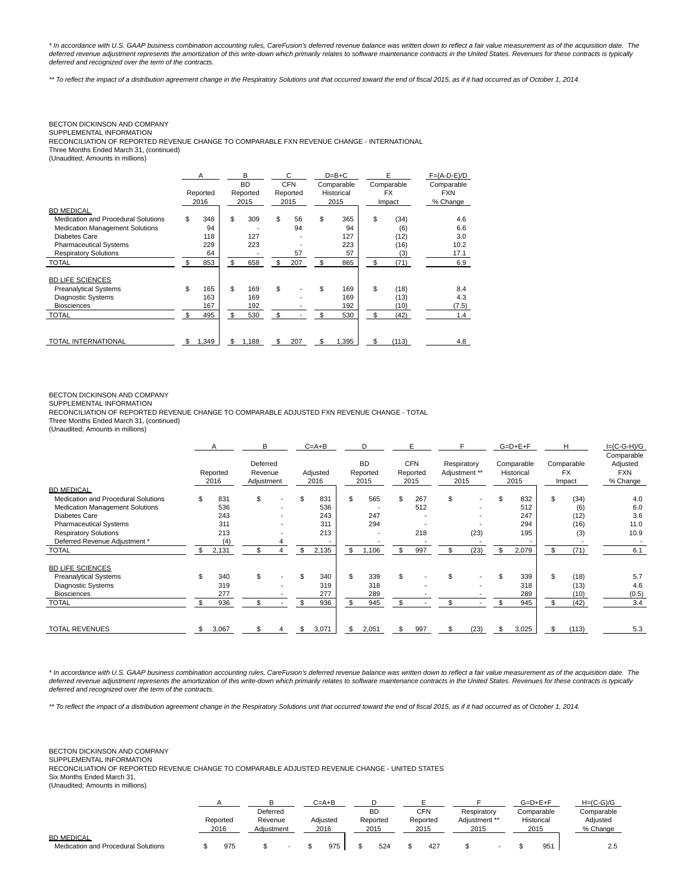\* In accordance with U.S. GAAP business combination accounting rules, CareFusion's deferred revenue balance was written down to reflect a fair value measurement as of the acquisition date. The deferred revenue adjustment represents the amortization of this write-down which primarily relates to software maintenance contracts in the United States. Revenues for these contracts is typically deferred and recognized over the term of the contracts.

\*\* To reflect the impact of a distribution agreement change in the Respiratory Solutions unit that occurred toward the end of fiscal 2015, as if it had occurred as of October 1, 2014.

# BECTON DICKINSON AND COMPANY

SUPPLEMENTAL INFORMATION

RECONCILIATION OF REPORTED REVENUE CHANGE TO COMPARABLE FXN REVENUE CHANGE - INTERNATIONAL

Three Months Ended March 31, (continued)

(Unaudited; Amounts in millions)

|                                        | A<br>Reported<br>2016 | B<br><b>BD</b><br>Reported<br>2015 |    | C<br><b>CFN</b><br>Reported<br>2015 |    | $D=B+C$<br>Comparable<br>Historical<br>2015 | E<br>Comparable<br><b>FX</b><br>Impact | $F=(A-D-E)/D$<br>Comparable<br><b>FXN</b><br>% Change |
|----------------------------------------|-----------------------|------------------------------------|----|-------------------------------------|----|---------------------------------------------|----------------------------------------|-------------------------------------------------------|
| <b>BD MEDICAL</b>                      |                       |                                    |    |                                     |    |                                             |                                        |                                                       |
| Medication and Procedural Solutions    | \$<br>348             | \$<br>309                          | \$ | 56                                  | \$ | 365                                         | \$<br>(34)                             | 4.6                                                   |
| <b>Medication Management Solutions</b> | 94                    |                                    |    | 94                                  |    | 94                                          | (6)                                    | 6.6                                                   |
| Diabetes Care                          | 118                   | 127                                |    |                                     |    | 127                                         | (12)                                   | 3.0                                                   |
| <b>Pharmaceutical Systems</b>          | 229                   | 223                                |    |                                     |    | 223                                         | (16)                                   | 10.2                                                  |
| <b>Respiratory Solutions</b>           | 64                    |                                    |    | 57                                  |    | 57                                          | (3)                                    | 17.1                                                  |
| <b>TOTAL</b>                           | \$<br>853             | \$<br>658                          | \$ | 207                                 | \$ | 865                                         | \$<br>(71)                             | 6.9                                                   |
| <b>BD LIFE SCIENCES</b>                |                       |                                    |    |                                     |    |                                             |                                        |                                                       |
| <b>Preanalytical Systems</b>           | \$<br>165             | \$<br>169                          | \$ |                                     | \$ | 169                                         | \$<br>(18)                             | 8.4                                                   |
| <b>Diagnostic Systems</b>              | 163                   | 169                                |    |                                     |    | 169                                         | (13)                                   | 4.3                                                   |
| <b>Biosciences</b>                     | 167                   | 192                                |    |                                     |    | 192                                         | (10)                                   | (7.5)                                                 |
| <b>TOTAL</b>                           | \$<br>495             | \$<br>530                          | \$ |                                     | \$ | 530                                         | \$<br>(42)                             | 1.4                                                   |
| <b>TOTAL INTERNATIONAL</b>             | \$<br>1,349           | \$<br>1,188                        | \$ | 207                                 | \$ | 1,395                                       | \$<br>(113)                            | 4.8                                                   |

### BECTON DICKINSON AND COMPANY

SUPPLEMENTAL INFORMATION

RECONCILIATION OF REPORTED REVENUE CHANGE TO COMPARABLE ADJUSTED FXN REVENUE CHANGE - TOTAL

Three Months Ended March 31, (continued)

(Unaudited; Amounts in millions)

|                                        |     | A                | в                                 |     | $C = A + B$      |     | D                             |     | Е                              |                     |               | $G=D+E+F$                        | н                                 | $I=(C-G-H)/G$                                    |
|----------------------------------------|-----|------------------|-----------------------------------|-----|------------------|-----|-------------------------------|-----|--------------------------------|---------------------|---------------|----------------------------------|-----------------------------------|--------------------------------------------------|
|                                        |     | Reported<br>2016 | Deferred<br>Revenue<br>Adjustment |     | Adjusted<br>2016 |     | <b>BD</b><br>Reported<br>2015 |     | <b>CFN</b><br>Reported<br>2015 | Respiratory<br>2015 | Adjustment ** | Comparable<br>Historical<br>2015 | Comparable<br><b>FX</b><br>Impact | Comparable<br>Adjusted<br><b>FXN</b><br>% Change |
| <b>BD MEDICAL</b>                      |     |                  |                                   |     |                  |     |                               |     |                                |                     |               |                                  |                                   |                                                  |
| Medication and Procedural Solutions    | \$  | 831              | \$                                | \$. | 831              | \$. | 565                           | \$  | 267                            | \$                  |               | \$<br>832                        | \$<br>(34)                        | 4.0                                              |
| <b>Medication Management Solutions</b> |     | 536              |                                   |     | 536              |     |                               |     | 512                            |                     |               | 512                              | (6)                               | 6.0                                              |
| Diabetes Care                          |     | 243              |                                   |     | 243              |     | 247                           |     |                                |                     |               | 247                              | (12)                              | 3.6                                              |
| <b>Pharmaceutical Systems</b>          |     | 311              |                                   |     | 311              |     | 294                           |     |                                |                     |               | 294                              | (16)                              | 11.0                                             |
| <b>Respiratory Solutions</b>           |     | 213              |                                   |     | 213              |     | $\overline{\phantom{a}}$      |     | 218                            |                     | (23)          | 195                              | (3)                               | 10.9                                             |
| Deferred Revenue Adjustment *          |     | (4)              |                                   |     |                  |     |                               |     |                                |                     |               |                                  |                                   |                                                  |
| TOTAL                                  | \$. | 2,131            | \$                                | \$  | 2,135            | \$  | 1,106                         | \$  | 997                            | \$                  | (23)          | \$<br>2,079                      | \$<br>(71)                        | 6.1                                              |
| <b>BD LIFE SCIENCES</b>                |     |                  |                                   |     |                  |     |                               |     |                                |                     |               |                                  |                                   |                                                  |
| <b>Preanalytical Systems</b>           | \$  | 340              | \$                                | \$  | 340              | \$  | 339                           | \$  |                                | \$                  |               | \$<br>339                        | \$<br>(18)                        | 5.7                                              |
| Diagnostic Systems                     |     | 319              |                                   |     | 319              |     | 318                           |     |                                |                     |               | 318                              | (13)                              | 4.6                                              |
| <b>Biosciences</b>                     |     | 277              |                                   |     | 277              |     | 289                           |     |                                |                     |               | 289                              | (10)                              | (0.5)                                            |
| <b>TOTAL</b>                           |     | 936              | \$                                |     | 936              | \$. | 945                           | \$. |                                | \$                  |               | \$<br>945                        | \$<br>(42)                        | 3.4                                              |
| <b>TOTAL REVENUES</b>                  | \$. | 3,067            |                                   |     | 3,071            | \$. | 2,051                         |     | 997                            | \$.                 | (23)          | 3,025                            | (113)                             | 5.3                                              |

\* In accordance with U.S. GAAP business combination accounting rules, CareFusion's deferred revenue balance was written down to reflect a fair value measurement as of the acquisition date. The deferred revenue adjustment represents the amortization of this write-down which primarily relates to software maintenance contracts in the United States. Revenues for these contracts is typically deferred and recognized over the term of the contracts.

\*\* To reflect the impact of a distribution agreement change in the Respiratory Solutions unit that occurred toward the end of fiscal 2015, as if it had occurred as of October 1, 2014.

BECTON DICKINSON AND COMPANY SUPPLEMENTAL INFORMATION RECONCILIATION OF REPORTED REVENUE CHANGE TO COMPARABLE ADJUSTED REVENUE CHANGE - UNITED STATES Six Months Ended March 31,

| (Unaudited; Amounts in millions) |  |
|----------------------------------|--|
|----------------------------------|--|

|                                     |          |            |          |  | $C = A + B$ |          |          |               |             | $G=D+E+F$  | $H=(C-G)/G$ |            |
|-------------------------------------|----------|------------|----------|--|-------------|----------|----------|---------------|-------------|------------|-------------|------------|
|                                     |          |            | Deferred |  |             |          | ВD       | <b>CFN</b>    | Respiratory |            | Comparable  | Comparable |
|                                     | Reported | Revenue    |          |  | Adiusted    | Reported | Reported | Adiustment ** |             | Historical | Adiusted    |            |
|                                     | 2016     | Adiustment |          |  | 2016        | 2015     | 2015     | 2015          |             | 2015       | % Change    |            |
| <b>BD MEDICAL</b>                   |          |            |          |  |             |          |          |               |             |            |             |            |
| Medication and Procedural Solutions | 975      |            |          |  | 975         | 524      | 427      |               |             | 95'        | 2.5         |            |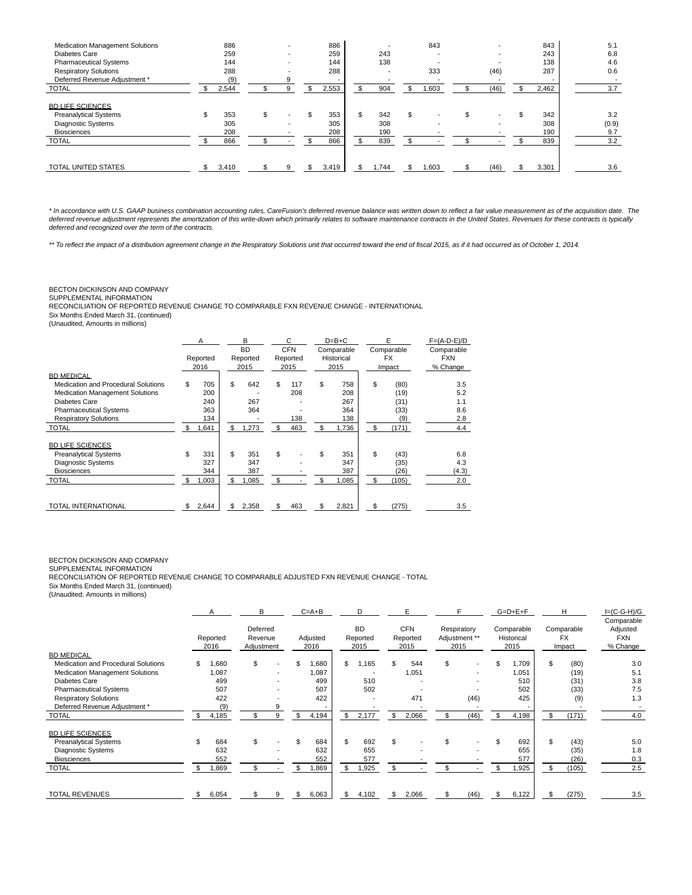| <b>Medication Management Solutions</b><br>Diabetes Care<br><b>Pharmaceutical Systems</b><br><b>Respiratory Solutions</b> | 886<br>259<br>144<br>288 | $\overline{\phantom{0}}$<br>$\overline{\phantom{0}}$ | 886<br>259<br>144<br>288 | $\overline{\phantom{0}}$<br>243<br>138<br>$\overline{\phantom{a}}$ |    | 843<br>333               | $\overline{\phantom{0}}$<br>(46) | 843<br>243<br>138<br>287 | 5.1<br>6.8<br>4.6<br>0.6 |
|--------------------------------------------------------------------------------------------------------------------------|--------------------------|------------------------------------------------------|--------------------------|--------------------------------------------------------------------|----|--------------------------|----------------------------------|--------------------------|--------------------------|
| Deferred Revenue Adjustment *<br><b>TOTAL</b>                                                                            | (9)<br>2,544             |                                                      | 2,553                    | \$<br>904                                                          | ж, | ,603                     | (46)                             | 2,462                    | 3.7                      |
| <b>BD LIFE SCIENCES</b><br><b>Preanalytical Systems</b><br>Diagnostic Systems<br><b>Biosciences</b>                      | \$<br>353<br>305<br>208  | \$                                                   | 353<br>305<br>208        | \$<br>342<br>308<br>190                                            |    | $\overline{\phantom{0}}$ | \$                               | \$<br>342<br>308<br>190  | 3.2<br>(0.9)<br>9.7      |
| <b>TOTAL</b>                                                                                                             | 866                      |                                                      | 866                      | 839                                                                |    |                          |                                  | 839                      | 3.2                      |
| <b>TOTAL UNITED STATES</b>                                                                                               | 3,410                    |                                                      | 3.419                    | .744                                                               |    | ,603                     | (46)                             | 3,301                    | 3.6                      |

\* In accordance with U.S. GAAP business combination accounting rules, CareFusion's deferred revenue balance was written down to reflect a fair value measurement as of the acquisition date. The deferred revenue adjustment represents the amortization of this write-down which primarily relates to software maintenance contracts in the United States. Revenues for these contracts is typically deferred and recognized over the term of the contracts.

\*\* To reflect the impact of a distribution agreement change in the Respiratory Solutions unit that occurred toward the end of fiscal 2015, as if it had occurred as of October 1, 2014.

### BECTON DICKINSON AND COMPANY

SUPPLEMENTAL INFORMATION

RECONCILIATION OF REPORTED REVENUE CHANGE TO COMPARABLE FXN REVENUE CHANGE - INTERNATIONAL

Six Months Ended March 31, (continued)

(Unaudited; Amounts in millions)

|                                     | A<br>Reported<br>2016 | B<br><b>BD</b><br>Reported<br>2015 | C<br><b>CFN</b><br>Reported<br>2015 | $D=B+C$<br>Comparable<br>Historical<br>2015 | E<br>Comparable<br><b>FX</b><br>Impact | $F=(A-D-E)/D$<br>Comparable<br><b>FXN</b><br>% Change |
|-------------------------------------|-----------------------|------------------------------------|-------------------------------------|---------------------------------------------|----------------------------------------|-------------------------------------------------------|
| <b>BD MEDICAL</b>                   |                       |                                    |                                     |                                             |                                        |                                                       |
| Medication and Procedural Solutions | \$<br>705             | \$<br>642                          | \$<br>117                           | \$<br>758                                   | \$<br>(80)                             | 3.5                                                   |
| Medication Management Solutions     | 200                   |                                    | 208                                 | 208                                         | (19)                                   | 5.2                                                   |
| <b>Diabetes Care</b>                | 240                   | 267                                |                                     | 267                                         | (31)                                   | 1.1                                                   |
| <b>Pharmaceutical Systems</b>       | 363                   | 364                                |                                     | 364                                         | (33)                                   | 8.6                                                   |
| <b>Respiratory Solutions</b>        | 134                   |                                    | 138                                 | 138                                         | (9)                                    | 2.8                                                   |
| <b>TOTAL</b>                        | \$<br>1,641           | \$<br>1,273                        | \$<br>463                           | \$<br>1,736                                 | \$<br>(171)                            | 4.4                                                   |
| <b>BD LIFE SCIENCES</b>             |                       |                                    |                                     |                                             |                                        |                                                       |
| <b>Preanalytical Systems</b>        | \$<br>331             | \$<br>351                          | \$                                  | \$<br>351                                   | \$<br>(43)                             | 6.8                                                   |
| <b>Diagnostic Systems</b>           | 327                   | 347                                |                                     | 347                                         | (35)                                   | 4.3                                                   |
| <b>Biosciences</b>                  | 344                   | 387                                |                                     | 387                                         | (26)                                   | (4.3)                                                 |
| <b>TOTAL</b>                        | \$<br>1,003           | \$<br>1,085                        | \$                                  | \$<br>1,085                                 | \$<br>(105)                            | 2.0                                                   |
|                                     |                       |                                    |                                     |                                             |                                        |                                                       |
| <b>TOTAL INTERNATIONAL</b>          | \$<br>2,644           | \$<br>2,358                        | \$<br>463                           | \$<br>2,821                                 | \$<br>(275)                            | 3.5                                                   |

# BECTON DICKINSON AND COMPANY

SUPPLEMENTAL INFORMATION RECONCILIATION OF REPORTED REVENUE CHANGE TO COMPARABLE ADJUSTED FXN REVENUE CHANGE - TOTAL

Six Months Ended March 31, (continued)

(Unaudited; Amounts in millions)

|                                     | A                | B                                 |    | $C = A + B$      | D                             | E                              |                                      |      | $G=D+E+F$                        |    | H                                 | $I=(C-G-H)/G$<br>Comparable        |
|-------------------------------------|------------------|-----------------------------------|----|------------------|-------------------------------|--------------------------------|--------------------------------------|------|----------------------------------|----|-----------------------------------|------------------------------------|
|                                     | Reported<br>2016 | Deferred<br>Revenue<br>Adjustment |    | Adjusted<br>2016 | <b>BD</b><br>Reported<br>2015 | <b>CFN</b><br>Reported<br>2015 | Respiratory<br>Adjustment **<br>2015 |      | Comparable<br>Historical<br>2015 |    | Comparable<br><b>FX</b><br>Impact | Adjusted<br><b>FXN</b><br>% Change |
| <b>BD MEDICAL</b>                   |                  |                                   |    |                  |                               |                                |                                      |      |                                  |    |                                   |                                    |
| Medication and Procedural Solutions | \$<br>0.680      | \$                                | \$ | 1,680            | \$<br>.165                    | 544                            | \$                                   |      | \$<br>1,709                      | \$ | (80)                              | 3.0                                |
| Medication Management Solutions     | 1,087            |                                   |    | 1,087            |                               | 1,051                          |                                      |      | 1,051                            |    | (19)                              | 5.1                                |
| <b>Diabetes Care</b>                | 499              |                                   |    | 499              | 510                           |                                |                                      |      | 510                              |    | (31)                              | 3.8                                |
| <b>Pharmaceutical Systems</b>       | 507              |                                   |    | 507              | 502                           |                                |                                      |      | 502                              |    | (33)                              | 7.5                                |
| <b>Respiratory Solutions</b>        | 422              |                                   |    | 422              |                               | 471                            |                                      | (46) | 425                              |    | (9)                               | 1.3                                |
| Deferred Revenue Adjustment *       | (9)              |                                   |    |                  |                               |                                |                                      |      |                                  |    |                                   |                                    |
| <b>TOTAL</b>                        | 4,185            |                                   | \$ | 4,194            | \$<br>2,177                   | \$<br>2,066                    |                                      | (46) | 4,198                            | \$ | (171)                             | 4.0                                |
| <b>BD LIFE SCIENCES</b>             |                  |                                   |    |                  |                               |                                |                                      |      |                                  |    |                                   |                                    |
| <b>Preanalytical Systems</b>        | 684              | \$                                |    | 684              | \$<br>692                     | \$                             |                                      |      | \$<br>692                        | \$ | (43)                              | 5.0                                |
| Diagnostic Systems                  | 632              |                                   |    | 632              | 655                           |                                |                                      |      | 655                              |    | (35)                              | 1.8                                |
| <b>Biosciences</b>                  | 552              |                                   |    | 552              | 577                           |                                |                                      |      | 577                              |    | (26)                              | 0.3                                |
| <b>TOTAL</b>                        | 1,869            |                                   |    | .869             | \$<br>.925                    |                                |                                      |      | ,925                             | -S | (105)                             | 2.5                                |
| <b>TOTAL REVENUES</b>               | \$<br>6,054      |                                   |    | 6,063            | \$<br>4,102                   | \$<br>2,066                    |                                      | (46) | 6,122                            | \$ | (275)                             | 3.5                                |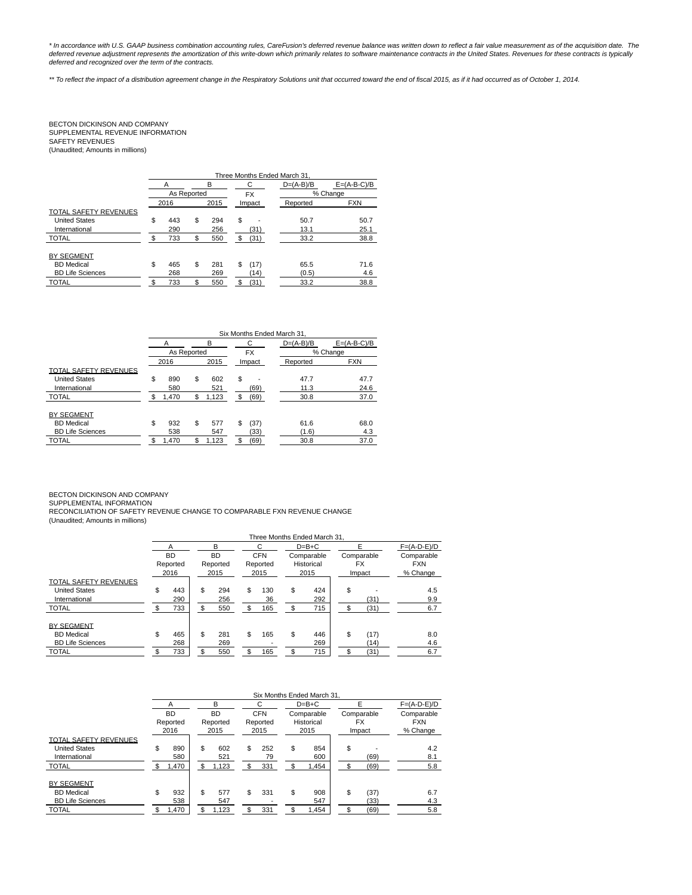\* In accordance with U.S. GAAP business combination accounting rules, CareFusion's deferred revenue balance was written down to reflect a fair value measurement as of the acquisition date. The<br>deferred revenue adjustment r deferred and recognized over the term of the contracts.

\*\* To reflect the impact of a distribution agreement change in the Respiratory Solutions unit that occurred toward the end of fiscal 2015, as if it had occurred as of October 1, 2014.

# BECTON DICKINSON AND COMPANY<br>SUPPLEMENTAL REVENUE INFORMATION<br>SAFETY REVENUES (Unaudited; Amounts in millions)

|                              |        |             |    |      |    |           | Three Months Ended March 31. |               |
|------------------------------|--------|-------------|----|------|----|-----------|------------------------------|---------------|
|                              | B<br>А |             |    |      |    | С         | $D=(A-B)/B$                  | $E=(A-B-C)/B$ |
|                              |        | As Reported |    |      |    | <b>FX</b> |                              | % Change      |
|                              |        | 2016        |    | 2015 |    | Impact    | Reported                     | <b>FXN</b>    |
| <b>TOTAL SAFETY REVENUES</b> |        |             |    |      |    |           |                              |               |
| <b>United States</b>         | \$     | 443         | \$ | 294  | \$ |           | 50.7                         | 50.7          |
| International                |        | 290         |    | 256  |    | (31)      | 13.1                         | 25.1          |
| <b>TOTAL</b>                 | \$.    | 733         | S. | 550  | \$ | (31)      | 33.2                         | 38.8          |
| <b>BY SEGMENT</b>            |        |             |    |      |    |           |                              |               |
| <b>BD</b> Medical            | \$     | 465         | \$ | 281  | \$ | (17)      | 65.5                         | 71.6          |
| <b>BD Life Sciences</b>      |        | 268         |    | 269  |    | (14)      | (0.5)                        | 4.6           |
| <b>TOTAL</b>                 | \$.    | 733         |    | 550  | S. | (31)      | 33.2                         | 38.8          |

|                         |             |             |    |           | Six Months Ended March 31. |               |
|-------------------------|-------------|-------------|----|-----------|----------------------------|---------------|
|                         | А           | B           |    | С         | $D=(A-B)/B$                | $E=(A-B-C)/B$ |
|                         | As Reported |             |    | <b>FX</b> |                            | % Change      |
|                         | 2016        | 2015        |    | Impact    | Reported                   | <b>FXN</b>    |
| TOTAL SAFETY REVENUES   |             |             |    |           |                            |               |
| <b>United States</b>    | \$<br>890   | \$<br>602   | \$ |           | 47.7                       | 47.7          |
| International           | 580         | 521         |    | (69)      | 11.3                       | 24.6          |
| <b>TOTAL</b>            | \$<br>1,470 | \$<br>1,123 | S  | (69)      | 30.8                       | 37.0          |
|                         |             |             |    |           |                            |               |
| <b>BY SEGMENT</b>       |             |             |    |           |                            |               |
| <b>BD</b> Medical       | \$<br>932   | \$<br>577   | S  | (37)      | 61.6                       | 68.0          |
| <b>BD Life Sciences</b> | 538         | 547         |    | (33)      | (1.6)                      | 4.3           |
| <b>TOTAL</b>            | \$<br>1,470 | \$<br>1,123 |    | (69)      | 30.8                       | 37.0          |

BECTON DICKINSON AND COMPANY

SUPPLEMENTAL INFORMATION<br>RECONCILIATION OF SAFETY REVENUE CHANGE TO COMPARABLE FXN REVENUE CHANGE<br>(Unaudited; Amounts in millions)

|                              |           |           |            |    | Three Months Ended March 31. |    |            |               |
|------------------------------|-----------|-----------|------------|----|------------------------------|----|------------|---------------|
|                              |           | B         |            |    | $D=B+C$                      |    |            | $F=(A-D-E)/D$ |
|                              | <b>BD</b> | <b>BD</b> | <b>CFN</b> |    | Comparable                   |    | Comparable | Comparable    |
|                              | Reported  | Reported  | Reported   |    | Historical                   |    | <b>FX</b>  | <b>FXN</b>    |
|                              | 2016      | 2015      | 2015       |    | 2015                         |    | Impact     | % Change      |
| <b>TOTAL SAFETY REVENUES</b> |           |           |            |    |                              |    |            |               |
| <b>United States</b>         | \$<br>443 | \$<br>294 | \$<br>130  | \$ | 424                          | \$ |            | 4.5           |
| International                | 290       | 256       | 36         |    | 292                          |    | (31)       | 9.9           |
| <b>TOTAL</b>                 | 733       | \$<br>550 | \$<br>165  | \$ | 715                          |    | (31)       | 6.7           |
| <b>BY SEGMENT</b>            |           |           |            |    |                              |    |            |               |
| <b>BD</b> Medical            | \$<br>465 | \$<br>281 | \$<br>165  | \$ | 446                          | \$ | (17)       | 8.0           |
| <b>BD Life Sciences</b>      | 268       | 269       |            |    | 269                          |    | (14)       | 4.6           |
| <b>TOTAL</b>                 | 733       | 550       | \$<br>165  |    | 715                          |    | (31)       | 6.7           |

|                              |     |           |     |           |    |            |      | Six Months Ended March 31. |            |               |
|------------------------------|-----|-----------|-----|-----------|----|------------|------|----------------------------|------------|---------------|
|                              |     | А         |     | в         |    | C          |      | $D=B+C$                    | F          | $F=(A-D-E)/D$ |
|                              |     | <b>BD</b> |     | <b>BD</b> |    | <b>CFN</b> |      | Comparable                 | Comparable | Comparable    |
|                              |     | Reported  |     | Reported  |    | Reported   |      | Historical                 | <b>FX</b>  | <b>FXN</b>    |
|                              |     | 2016      |     | 2015      |    | 2015       | 2015 |                            | Impact     | % Change      |
| <b>TOTAL SAFETY REVENUES</b> |     |           |     |           |    |            |      |                            |            |               |
| <b>United States</b>         | \$  | 890       | \$  | 602       | \$ | 252        | \$   | 854                        | \$         | 4.2           |
| International                |     | 580       |     | 521       |    | 79         |      | 600                        | (69)       | 8.1           |
| <b>TOTAL</b>                 | \$. | 1,470     | \$. | 1,123     | S  | 331        |      | 1,454                      | (69)       | 5.8           |
|                              |     |           |     |           |    |            |      |                            |            |               |
| <b>BY SEGMENT</b>            |     |           |     |           |    |            |      |                            |            |               |
| <b>BD</b> Medical            | \$  | 932       | \$  | 577       | \$ | 331        | \$   | 908                        | \$<br>(37) | 6.7           |
| <b>BD Life Sciences</b>      |     | 538       |     | 547       |    |            |      | 547                        | (33)       | 4.3           |
| <b>TOTAL</b>                 | S   | 1,470     |     | 1,123     | \$ | 331        |      | 1,454                      | (69)       | 5.8           |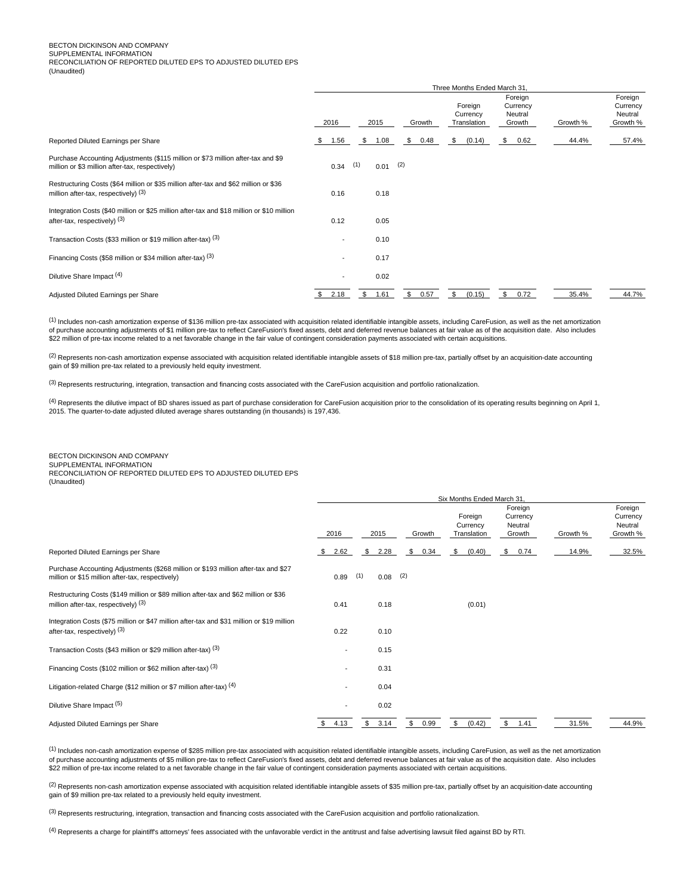# BECTON DICKINSON AND COMPANY

SUPPLEMENTAL INFORMATION RECONCILIATION OF REPORTED DILUTED EPS TO ADJUSTED DILUTED EPS

(Unaudited)

|                                                                                                                                     |                          |             |            | Three Months Ended March 31,       |                                          |          |                                            |
|-------------------------------------------------------------------------------------------------------------------------------------|--------------------------|-------------|------------|------------------------------------|------------------------------------------|----------|--------------------------------------------|
|                                                                                                                                     | 2016                     | 2015        | Growth     | Foreign<br>Currency<br>Translation | Foreign<br>Currency<br>Neutral<br>Growth | Growth % | Foreign<br>Currency<br>Neutral<br>Growth % |
| Reported Diluted Earnings per Share                                                                                                 | 1.56<br>\$               | \$<br>1.08  | \$<br>0.48 | (0.14)<br>\$                       | $\mathbb{S}$<br>0.62                     | 44.4%    | 57.4%                                      |
| Purchase Accounting Adjustments (\$115 million or \$73 million after-tax and \$9<br>million or \$3 million after-tax, respectively) | 0.34                     | (1)<br>0.01 | (2)        |                                    |                                          |          |                                            |
| Restructuring Costs (\$64 million or \$35 million after-tax and \$62 million or \$36<br>million after-tax, respectively) $(3)$      | 0.16                     | 0.18        |            |                                    |                                          |          |                                            |
| Integration Costs (\$40 million or \$25 million after-tax and \$18 million or \$10 million<br>after-tax, respectively) (3)          | 0.12                     | 0.05        |            |                                    |                                          |          |                                            |
| Transaction Costs (\$33 million or \$19 million after-tax) (3)                                                                      |                          | 0.10        |            |                                    |                                          |          |                                            |
| Financing Costs (\$58 million or \$34 million after-tax) (3)                                                                        | $\overline{\phantom{a}}$ | 0.17        |            |                                    |                                          |          |                                            |
| Dilutive Share Impact (4)                                                                                                           |                          | 0.02        |            |                                    |                                          |          |                                            |
| Adjusted Diluted Earnings per Share                                                                                                 | 2.18<br>\$               | \$<br>1.61  | \$<br>0.57 | \$<br>(0.15)                       | \$<br>0.72                               | 35.4%    | 44.7%                                      |

(1) Includes non-cash amortization expense of \$136 million pre-tax associated with acquisition related identifiable intangible assets, including CareFusion, as well as the net amortization of purchase accounting adjustments of \$1 million pre-tax to reflect CareFusion's fixed assets, debt and deferred revenue balances at fair value as of the acquisition date. Also includes \$22 million of pre-tax income related to a net favorable change in the fair value of contingent consideration payments associated with certain acquisitions.

 $^{(2)}$  Represents non-cash amortization expense associated with acquisition related identifiable intangible assets of \$18 million pre-tax, partially offset by an acquisition-date accounting gain of \$9 million pre-tax related to a previously held equity investment.

(3) Represents restructuring, integration, transaction and financing costs associated with the CareFusion acquisition and portfolio rationalization.

<sup>(4)</sup> Represents the dilutive impact of BD shares issued as part of purchase consideration for CareFusion acquisition prior to the consolidation of its operating results beginning on April 1, 2015. The quarter-to-date adjusted diluted average shares outstanding (in thousands) is 197,436.

# BECTON DICKINSON AND COMPANY

SUPPLEMENTAL INFORMATION RECONCILIATION OF REPORTED DILUTED EPS TO ADJUSTED DILUTED EPS

(Unaudited)

|                                                                                                                                        | Six Months Ended March 31, |             |            |                                    |                                          |          |                                            |
|----------------------------------------------------------------------------------------------------------------------------------------|----------------------------|-------------|------------|------------------------------------|------------------------------------------|----------|--------------------------------------------|
|                                                                                                                                        | 2016                       | 2015        | Growth     | Foreign<br>Currency<br>Translation | Foreign<br>Currency<br>Neutral<br>Growth | Growth % | Foreign<br>Currency<br>Neutral<br>Growth % |
| Reported Diluted Earnings per Share                                                                                                    | 2.62<br>S.                 | 2.28<br>\$  | 0.34<br>\$ | (0.40)<br>\$                       | \$<br>0.74                               | 14.9%    | 32.5%                                      |
| Purchase Accounting Adjustments (\$268 million or \$193 million after-tax and \$27<br>million or \$15 million after-tax, respectively) | 0.89                       | (1)<br>0.08 | (2)        |                                    |                                          |          |                                            |
| Restructuring Costs (\$149 million or \$89 million after-tax and \$62 million or \$36<br>million after-tax, respectively) $(3)$        | 0.41                       | 0.18        |            | (0.01)                             |                                          |          |                                            |
| Integration Costs (\$75 million or \$47 million after-tax and \$31 million or \$19 million<br>after-tax, respectively) (3)             | 0.22                       | 0.10        |            |                                    |                                          |          |                                            |
| Transaction Costs (\$43 million or \$29 million after-tax) (3)                                                                         |                            | 0.15        |            |                                    |                                          |          |                                            |
| Financing Costs (\$102 million or \$62 million after-tax) (3)                                                                          |                            | 0.31        |            |                                    |                                          |          |                                            |
| Litigation-related Charge (\$12 million or \$7 million after-tax) (4)                                                                  | $\overline{\phantom{a}}$   | 0.04        |            |                                    |                                          |          |                                            |
| Dilutive Share Impact (5)                                                                                                              | $\overline{\phantom{a}}$   | 0.02        |            |                                    |                                          |          |                                            |
| Adjusted Diluted Earnings per Share                                                                                                    | 4.13<br>\$                 | \$<br>3.14  | 0.99<br>\$ | (0.42)<br>\$                       | \$<br>1.41                               | 31.5%    | 44.9%                                      |

(1) Includes non-cash amortization expense of \$285 million pre-tax associated with acquisition related identifiable intangible assets, including CareFusion, as well as the net amortization of purchase accounting adjustments of \$5 million pre-tax to reflect CareFusion's fixed assets, debt and deferred revenue balances at fair value as of the acquisition date. Also includes \$22 million of pre-tax income related to a net favorable change in the fair value of contingent consideration payments associated with certain acquisitions.

 $(2)$  Represents non-cash amortization expense associated with acquisition related identifiable intangible assets of \$35 million pre-tax, partially offset by an acquisition-date accounting gain of \$9 million pre-tax related to a previously held equity investment.

(3) Represents restructuring, integration, transaction and financing costs associated with the CareFusion acquisition and portfolio rationalization.

(4) Represents a charge for plaintiff's attorneys' fees associated with the unfavorable verdict in the antitrust and false advertising lawsuit filed against BD by RTI.